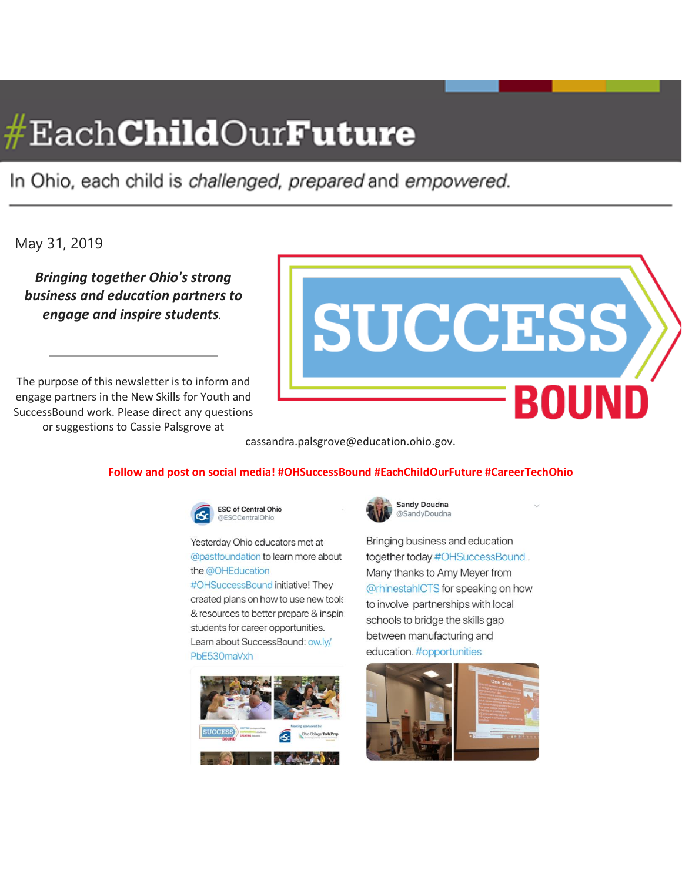# $\#\text{EachChildOur Future}$

In Ohio, each child is challenged, prepared and empowered.

# May 31, 2019

*Bringing together Ohio's strong business and education partners to engage and inspire students.*

The purpose of this newsletter is to inform and engage partners in the New Skills for Youth and SuccessBound work. Please direct any questions or suggestions to Cassie Palsgrove at



cassandra.palsgrove@education.ohio.gov.

#### **Follow and post on social media! #OHSuccessBound #EachChildOurFuture #CareerTechOhio**



Yesterday Ohio educators met at @pastfoundation to learn more about

the @OHEducation #OHSuccessBound initiative! They created plans on how to use new tools & resources to better prepare & inspire students for career opportunities. Learn about SuccessBound: ow.ly/ PbE530maVxh



![](_page_0_Picture_12.jpeg)

Bringing business and education together today #OHSuccessBound. Many thanks to Amy Meyer from @rhinestahlCTS for speaking on how to involve partnerships with local schools to bridge the skills gap between manufacturing and education. #opportunities

![](_page_0_Picture_14.jpeg)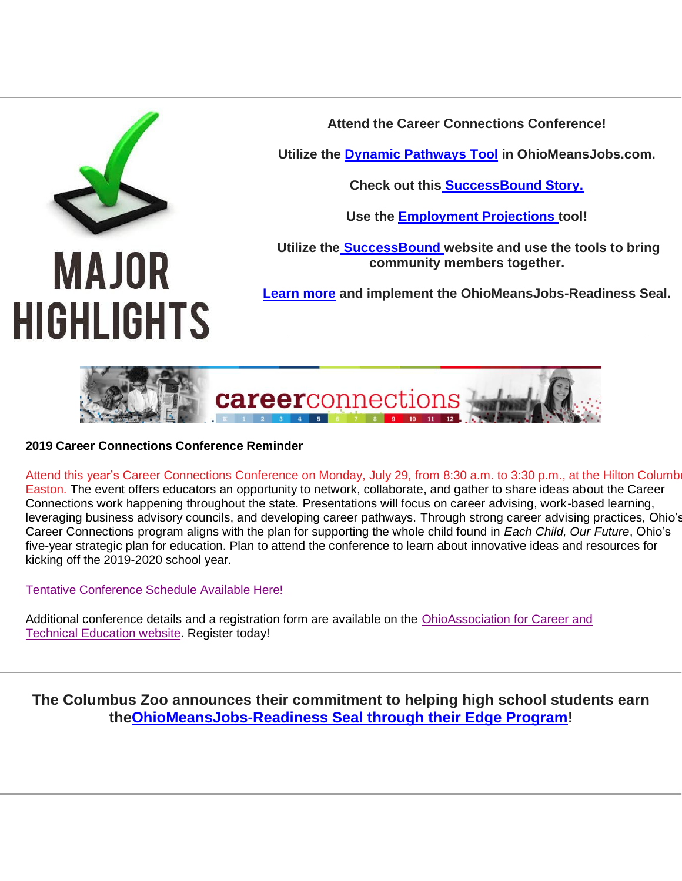![](_page_1_Picture_0.jpeg)

**Attend the Career Connections Conference!**

**Utilize the [Dynamic Pathways Tool](https://gcc01.safelinks.protection.outlook.com/?url=https%3A%2F%2Fjobseeker.k-12.ohiomeansjobs.monster.com%2FExploreIt%2FCareerClusters.aspx&data=02%7C01%7Ccassandra.palsgrove%40education.ohio.gov%7C7b807a56b6874fc2448508d6e61296e5%7C50f8fcc494d84f0784eb36ed57c7c8a2%7C0%7C1%7C636949364854170256&sdata=cwLRWzxa3ppZ9nJrby3c%2Bx%2F5grkGpmpmxTnKpVpSK7M%3D&reserved=0) in OhioMeansJobs.com.**

**Check out this [SuccessBound Story.](https://gcc01.safelinks.protection.outlook.com/?url=https%3A%2F%2Fyoutu.be%2FinLM2jRFPfE&data=02%7C01%7Ccassandra.palsgrove%40education.ohio.gov%7C7b807a56b6874fc2448508d6e61296e5%7C50f8fcc494d84f0784eb36ed57c7c8a2%7C0%7C1%7C636949364854170256&sdata=yftHWdPiaVOCG8Re8kF65K1QociDstxbTrFMoJbIYX4%3D&reserved=0)**

**Use the [Employment Projections](https://gcc01.safelinks.protection.outlook.com/?url=https%3A%2F%2Fworkforcedatatools.chrr.ohio-state.edu%2Femploymentprojections%2F&data=02%7C01%7Ccassandra.palsgrove%40education.ohio.gov%7C7b807a56b6874fc2448508d6e61296e5%7C50f8fcc494d84f0784eb36ed57c7c8a2%7C0%7C1%7C636949364854180244&sdata=PQGuUZC20cGy1gPXZJb0E4pW8t8nGy0U%2FF7A9fD7jOc%3D&reserved=0) tool!**

**Utilize the [SuccessBound](https://gcc01.safelinks.protection.outlook.com/?url=http%3A%2F%2Fsuccessbound.ohio.gov%2F&data=02%7C01%7Ccassandra.palsgrove%40education.ohio.gov%7C7b807a56b6874fc2448508d6e61296e5%7C50f8fcc494d84f0784eb36ed57c7c8a2%7C0%7C0%7C636949364854180244&sdata=uw0fw8aNs5SXDhL6rJvp6ywD1xaZc7kxq0f3fbWkYSY%3D&reserved=0) website and use the tools to bring community members together.**

**[Learn](https://gcc01.safelinks.protection.outlook.com/?url=https%3A%2F%2Fsuccessbound.ohio.gov%2FOhio-Means-Jobs-Readiness-Seal&data=02%7C01%7Ccassandra.palsgrove%40education.ohio.gov%7C7b807a56b6874fc2448508d6e61296e5%7C50f8fcc494d84f0784eb36ed57c7c8a2%7C0%7C0%7C636949364854190236&sdata=dGSK4FS7JFqoFQsJ0UX43zOKQA5LHepn59v6P7r72LQ%3D&reserved=0) more and implement the OhioMeansJobs-Readiness Seal.**

![](_page_1_Picture_7.jpeg)

**2019 Career Connections Conference Reminder**

Attend this year's Career Connections Conference on Monday, July 29, from 8:30 a.m. to 3:30 p.m., at the Hilton Columb Easton. The event offers educators an opportunity to network, collaborate, and gather to share ideas about the Career Connections work happening throughout the state. Presentations will focus on career advising, work-based learning, leveraging business advisory councils, and developing career pathways. Through strong career advising practices, Ohio's Career Connections program aligns with the plan for supporting the whole child found in *Each Child, Our Future*, Ohio's five-year strategic plan for education. Plan to attend the conference to learn about innovative ideas and resources for kicking off the 2019-2020 school year.

[Tentative Conference Schedule Available Here!](https://gcc01.safelinks.protection.outlook.com/?url=https%3A%2F%2F2019careerconnectionsconference.sched.com%2F&data=02%7C01%7Ccassandra.palsgrove%40education.ohio.gov%7C7b807a56b6874fc2448508d6e61296e5%7C50f8fcc494d84f0784eb36ed57c7c8a2%7C0%7C0%7C636949364854190236&sdata=3Z73csXAaCKEZNUpl319U1ozbhGCV8lg8g4yzR8cHqo%3D&reserved=0)

Additional conference details and a registration form are available on the [OhioAssociation for Career and](https://gcc01.safelinks.protection.outlook.com/?url=http%3A%2F%2Fohioacte.org%2Fevent-3244019&data=02%7C01%7Ccassandra.palsgrove%40education.ohio.gov%7C7b807a56b6874fc2448508d6e61296e5%7C50f8fcc494d84f0784eb36ed57c7c8a2%7C0%7C0%7C636949364854200230&sdata=nVAINLfjJLbfF0cUz7imX5gX6dvhBeOpYjPIR9AuD8k%3D&reserved=0)  Technical [Education website.](https://gcc01.safelinks.protection.outlook.com/?url=http%3A%2F%2Fohioacte.org%2Fevent-3244019&data=02%7C01%7Ccassandra.palsgrove%40education.ohio.gov%7C7b807a56b6874fc2448508d6e61296e5%7C50f8fcc494d84f0784eb36ed57c7c8a2%7C0%7C0%7C636949364854200230&sdata=nVAINLfjJLbfF0cUz7imX5gX6dvhBeOpYjPIR9AuD8k%3D&reserved=0) Register today!

**The Columbus Zoo announces their commitment to helping high school students earn th[eOhioMeansJobs-Readiness Seal through their Edge Program!](https://gcc01.safelinks.protection.outlook.com/?url=https%3A%2F%2Fyoutu.be%2Fc_xR7--OM8k&data=02%7C01%7Ccassandra.palsgrove%40education.ohio.gov%7C7b807a56b6874fc2448508d6e61296e5%7C50f8fcc494d84f0784eb36ed57c7c8a2%7C0%7C1%7C636949364854200230&sdata=DSQ4upPnKGem8G4SwfDoeXa2VuvfPZGyrf91z9EhJto%3D&reserved=0)**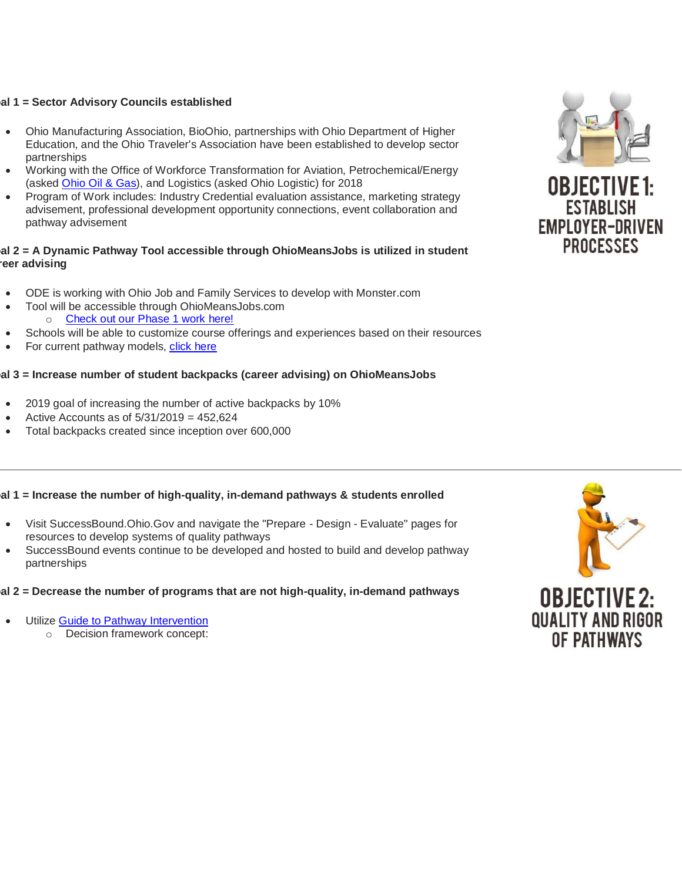#### **Goal 1 = Sector Advisory Councils established**

- Ohio Manufacturing Association, BioOhio, partnerships with Ohio Department of Higher Education, and the Ohio Traveler's Association have been established to develop sector partnerships
- Working with the Office of Workforce Transformation for Aviation, Petrochemical/Energy (asked [Ohio Oil & Gas\)](https://gcc01.safelinks.protection.outlook.com/?url=https%3A%2F%2Fwww.ooga.org%2Fblogpost%2F1230994%2F323655%2FOOGA-and-Ascent-Resources-Team-Up-to-Expose-Students-To-Oil-And-Gas-Opportunities&data=02%7C01%7Ccassandra.palsgrove%40education.ohio.gov%7C7b807a56b6874fc2448508d6e61296e5%7C50f8fcc494d84f0784eb36ed57c7c8a2%7C0%7C1%7C636949364854210224&sdata=qBTyTWKiHSnKI1XwWV6dnGUwSv5CbYmSlr3p%2BPqaWOc%3D&reserved=0), and Logistics (asked Ohio Logistic) for 2018
- Program of Work includes: Industry Credential evaluation assistance, marketing strategy advisement, professional development opportunity connections, event collaboration and pathway advisement

#### **Goal 2 = A Dynamic Pathway Tool accessible through OhioMeansJobs is utilized in student reer advising**

- ODE is working with Ohio Job and Family Services to develop with Monster.com
- Tool will be accessible through OhioMeansJobs.com o [Check out our Phase 1 work here!](https://gcc01.safelinks.protection.outlook.com/?url=https%3A%2F%2Fjobseeker.k-12.ohiomeansjobs.monster.com%2FExploreIt%2FCareerClusters.aspx&data=02%7C01%7Ccassandra.palsgrove%40education.ohio.gov%7C7b807a56b6874fc2448508d6e61296e5%7C50f8fcc494d84f0784eb36ed57c7c8a2%7C0%7C1%7C636949364854210224&sdata=Hx6KlCrnps8TiqNjWBGKgxew72OEdboh%2Fz7I9r9B9cc%3D&reserved=0)
- Schools will be able to customize course offerings and experiences based on their resources
- For current pathway models, [click here](http://education.ohio.gov/Topics/Career-Tech/Career-Connections/Career-Pathways)

# **Goal 3 = Increase number of student backpacks (career advising) on OhioMeansJobs**

- 2019 goal of increasing the number of active backpacks by 10%
- Active Accounts as of 5/31/2019 = 452,624
- Total backpacks created since inception over 600,000

# **Goal 1 = Increase the number of high-quality, in-demand pathways & students enrolled**

- Visit SuccessBound.Ohio.Gov and navigate the "Prepare Design Evaluate" pages for resources to develop systems of quality pathways
- SuccessBound events continue to be developed and hosted to build and develop pathway partnerships

# **Goal 2 = Decrease the number of programs that are not high-quality, in-demand pathways**

- Utilize [Guide to Pathway Intervention](https://gcc01.safelinks.protection.outlook.com/?url=https%3A%2F%2Fcareertech.org%2Fresource%2Fcareer-pathway-quality-intervention-guide&data=02%7C01%7Ccassandra.palsgrove%40education.ohio.gov%7C7b807a56b6874fc2448508d6e61296e5%7C50f8fcc494d84f0784eb36ed57c7c8a2%7C0%7C1%7C636949364854220221&sdata=5jZ4T%2F5R1nMJZxoToIEW%2FMT8fsPB6GqEdGcjuTX%2Fh2A%3D&reserved=0)
	- o Decision framework concept:

![](_page_2_Picture_19.jpeg)

![](_page_2_Picture_20.jpeg)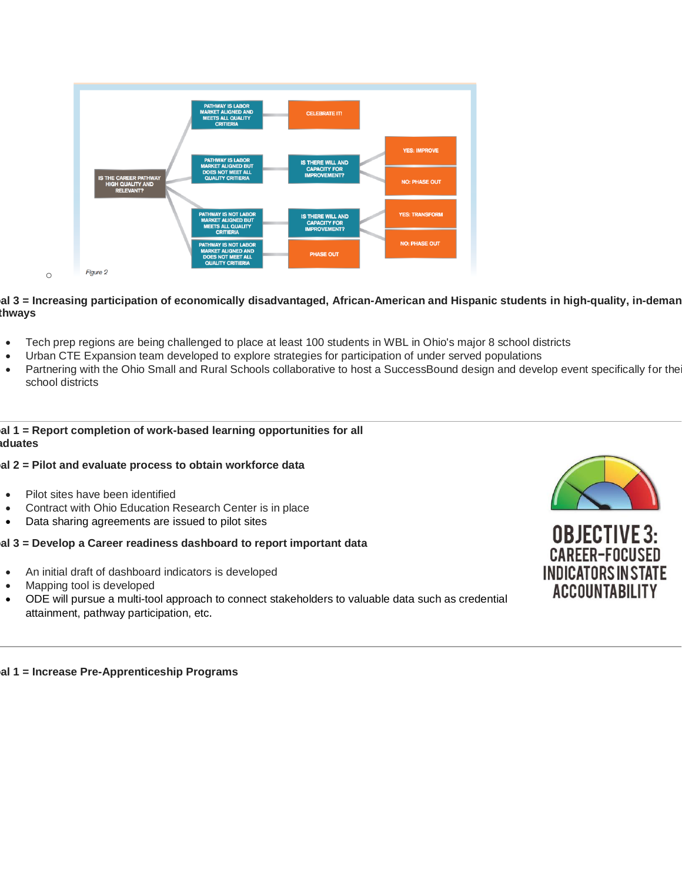![](_page_3_Figure_0.jpeg)

#### al 3 = Increasing participation of economically disadvantaged, African-American and Hispanic students in high-quality, in-deman **pathways**

- Tech prep regions are being challenged to place at least 100 students in WBL in Ohio's major 8 school districts
- Urban CTE Expansion team developed to explore strategies for participation of under served populations
- Partnering with the Ohio Small and Rural Schools collaborative to host a SuccessBound design and develop event specifically for the school districts

#### **Goal 1 = Report completion of work-based learning opportunities for all graduates**

#### **Goal 2 = Pilot and evaluate process to obtain workforce data**

- Pilot sites have been identified
- Contract with Ohio Education Research Center is in place
- Data sharing agreements are issued to pilot sites

#### **Goal 3 = Develop a Career readiness dashboard to report important data**

- An initial draft of dashboard indicators is developed
- Mapping tool is developed
- ODE will pursue a multi-tool approach to connect stakeholders to valuable data such as credential attainment, pathway participation, etc.

![](_page_3_Picture_14.jpeg)

![](_page_3_Picture_15.jpeg)

**Goal 1 = Increase Pre-Apprenticeship Programs**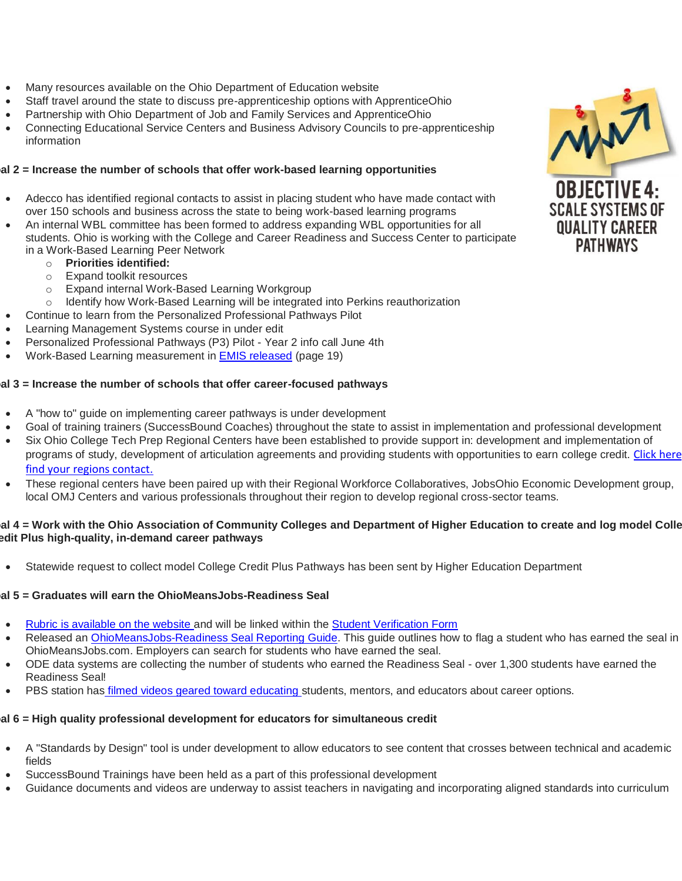- Many resources available on the Ohio Department of Education website
- Staff travel around the state to discuss pre-apprenticeship options with ApprenticeOhio
- Partnership with Ohio Department of Job and Family Services and ApprenticeOhio
- Connecting Educational Service Centers and Business Advisory Councils to pre-apprenticeship information

#### **Goal 2 = Increase the number of schools that offer work-based learning opportunities**

- Adecco has identified regional contacts to assist in placing student who have made contact with over 150 schools and business across the state to being work-based learning programs
- An internal WBL committee has been formed to address expanding WBL opportunities for all students. Ohio is working with the College and Career Readiness and Success Center to participate in a Work-Based Learning Peer Network
	- o **Priorities identified:**
	- o Expand toolkit resources
	- o Expand internal Work-Based Learning Workgroup
	- Identify how Work-Based Learning will be integrated into Perkins reauthorization
- Continue to learn from the Personalized Professional Pathways Pilot
- Learning Management Systems course in under edit
- Personalized Professional Pathways (P3) Pilot Year 2 info call June 4th
- Work-Based Learning measurement in [EMIS released](http://education.ohio.gov/getattachment/Topics/Data/EMIS/EMIS-Documentation/Current-EMIS-Manual/2-9-Student-Program-GQ-Record-v9-1.pdf.aspx?lang=en-US) (page 19)

#### **Goal 3 = Increase the number of schools that offer career-focused pathways**

- A "how to" guide on implementing career pathways is under development
- Goal of training trainers (SuccessBound Coaches) throughout the state to assist in implementation and professional development
- Six Ohio College Tech Prep Regional Centers have been established to provide support in: development and implementation of programs of study, development of articulation agreements and providing students with opportunities to earn college credit. Click here [find your regions contact.](http://education.ohio.gov/Topics/Career-Tech/College-Tech-Prep/Regional-Center-Points-of-Content)
- These regional centers have been paired up with their Regional Workforce Collaboratives, JobsOhio Economic Development group, local OMJ Centers and various professionals throughout their region to develop regional cross-sector teams.

#### **Goal 4 = Work with the Ohio Association of Community Colleges and Department of Higher Education to create and log model College Credit Plus high-quality, in-demand career pathways**

• Statewide request to collect model College Credit Plus Pathways has been sent by Higher Education Department

#### **Goal 5 = Graduates will earn the OhioMeansJobs-Readiness Seal**

- [Rubric is available on the website](http://education.ohio.gov/Topics/New-Skills-for-Youth/SuccessBound/OhioMeansJobs-Readiness-Seal) and will be linked within the [Student Verification Form](http://education.ohio.gov/getattachment/Topics/New-Skills-for-Youth/SuccessBound/OhioMeansJobs-Readiness-Seal/OMJ-Readiness-Seal-Validation-Form.pdf.aspx?lang=en-US)
- Released an [OhioMeansJobs-Readiness Seal Reporting Guide.](http://education.ohio.gov/getattachment/Topics/New-Skills-for-Youth/SuccessBound/OhioMeansJobs-Readiness-Seal/Readiness-Seal-Reporting-Guide-2019_Final.pdf.aspx?lang=en-US) This guide outlines how to flag a student who has earned the seal in OhioMeansJobs.com. Employers can search for students who have earned the seal.
- ODE data systems are collecting the number of students who earned the Readiness Seal over 1,300 students have earned the Readiness Seal!
- PBS station has *[filmed videos geared toward educating](https://gcc01.safelinks.protection.outlook.com/?url=https%3A%2F%2Fwww.youtube.com%2Fplaylist%3Flist%3DPLU5d15PFey_piRfCxthVrJSAe69_jd7xX&data=02%7C01%7Ccassandra.palsgrove%40education.ohio.gov%7C7b807a56b6874fc2448508d6e61296e5%7C50f8fcc494d84f0784eb36ed57c7c8a2%7C0%7C0%7C636949364854240209&sdata=vb6pTNWtmKsohWl3zpxTXwdYZ0EnLZGBQWHiTTwKR3M%3D&reserved=0)* students, mentors, and educators about career options.

#### **Goal 6 = High quality professional development for educators for simultaneous credit**

- A "Standards by Design" tool is under development to allow educators to see content that crosses between technical and academic fields
- SuccessBound Trainings have been held as a part of this professional development
- Guidance documents and videos are underway to assist teachers in navigating and incorporating aligned standards into curriculum

![](_page_4_Picture_31.jpeg)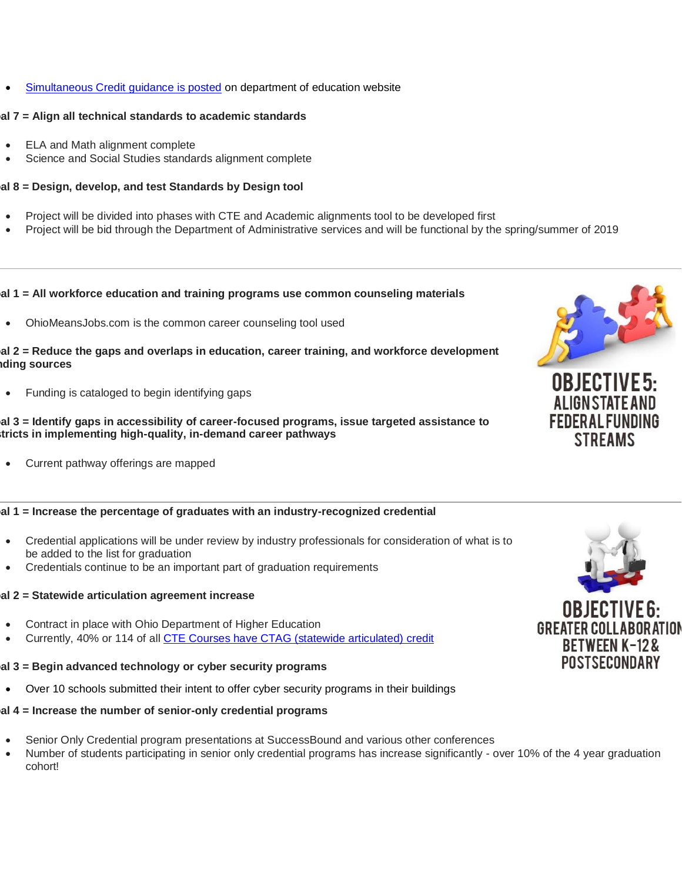[Simultaneous Credit guidance is posted](http://education.ohio.gov/Topics/Career-Tech/Integrated-Coursework-And-Awarding-Simultaneous-Cr) on department of education website

### **Goal 7 = Align all technical standards to academic standards**

- ELA and Math alignment complete
- Science and Social Studies standards alignment complete

# **Goal 8 = Design, develop, and test Standards by Design tool**

- Project will be divided into phases with CTE and Academic alignments tool to be developed first
- Project will be bid through the Department of Administrative services and will be functional by the spring/summer of 2019

# **Goal 1 = All workforce education and training programs use common counseling materials**

• OhioMeansJobs.com is the common career counseling tool used

#### **Goal 2 = Reduce the gaps and overlaps in education, career training, and workforce development funding sources**

• Funding is cataloged to begin identifying gaps

#### **Goal 3 = Identify gaps in accessibility of career-focused programs, issue targeted assistance to districts in implementing high-quality, in-demand career pathways**

• Current pathway offerings are mapped

# **Goal 1 = Increase the percentage of graduates with an industry-recognized credential**

- Credential applications will be under review by industry professionals for consideration of what is to be added to the list for graduation
- Credentials continue to be an important part of graduation requirements

# **Goal 2 = Statewide articulation agreement increase**

- Contract in place with Ohio Department of Higher Education
- Currently, 40% or 114 of all [CTE Courses have CTAG \(statewide articulated\)](https://gcc01.safelinks.protection.outlook.com/?url=https%3A%2F%2Fwww.ohiohighered.org%2Ftransfer%2Fct2%2Fctags&data=02%7C01%7Ccassandra.palsgrove%40education.ohio.gov%7C7b807a56b6874fc2448508d6e61296e5%7C50f8fcc494d84f0784eb36ed57c7c8a2%7C0%7C0%7C636949364854240209&sdata=D0MFAGA8cCeuUS2hu2jRCndzfZ8RDRYV2%2FW4k%2Bjb3b4%3D&reserved=0) credit

# **Goal 3 = Begin advanced technology or cyber security programs**

• Over 10 schools submitted their intent to offer cyber security programs in their buildings

# **Goal 4 = Increase the number of senior-only credential programs**

- Senior Only Credential program presentations at SuccessBound and various other conferences
- Number of students participating in senior only credential programs has increase significantly over 10% of the 4 year graduation cohort!

![](_page_5_Picture_24.jpeg)

![](_page_5_Picture_25.jpeg)